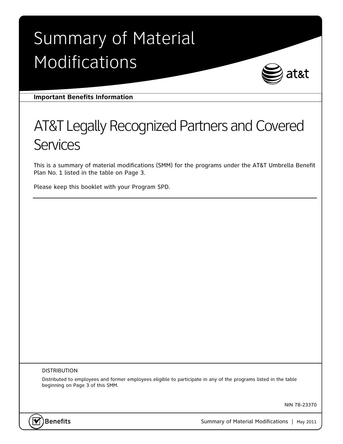# Summary of Material Modifications



**Important Benefits Information** 

## AT&T Legally Recognized Partners and Covered **Services**

This is a summary of material modifications (SMM) for the programs under the AT&T Umbrella Benefit Plan No. 1 listed in the table on Page 3.

Please keep this booklet with your Program SPD.

#### DISTRIBUTION

Distributed to employees and former employees eligible to participate in any of the programs listed in the table beginning on Page 3 of this SMM.

NIN 78-23370



Benefits **Summary of Material Modifications** | May 2011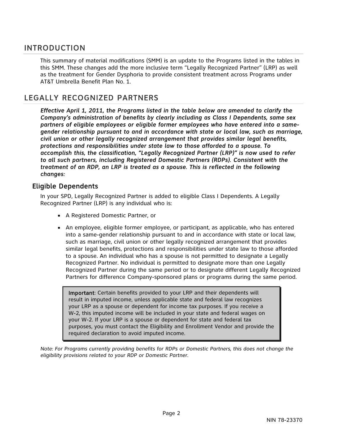#### INTRODUCTION

This summary of material modifications (SMM) is an update to the Programs listed in the tables in this SMM. These changes add the more inclusive term "Legally Recognized Partner" (LRP) as well as the treatment for Gender Dysphoria to provide consistent treatment across Programs under AT&T Umbrella Benefit Plan No. 1.

### LEGALLY RECOGNIZED PARTNERS

*Effective April 1, 2011, the Programs listed in the table below are amended to clarify the Company's administration of benefits by clearly including as Class I Dependents, same sex partners of eligible employees or eligible former employees who have entered into a samegender relationship pursuant to and in accordance with state or local law, such as marriage, civil union or other legally recognized arrangement that provides similar legal benefits, protections and responsibilities under state law to those afforded to a spouse. To accomplish this, the classification, "Legally Recognized Partner (LRP)" is now used to refer to all such partners, including Registered Domestic Partners (RDPs). Consistent with the treatment of an RDP, an LRP is treated as a spouse. This is reflected in the following changes:* 

#### Eligible Dependents

In your SPD, Legally Recognized Partner is added to eligible Class I Dependents. A Legally Recognized Partner (LRP) is any individual who is:

- A Registered Domestic Partner, or
- An employee, eligible former employee, or participant, as applicable, who has entered into a same-gender relationship pursuant to and in accordance with state or local law, such as marriage, civil union or other legally recognized arrangement that provides similar legal benefits, protections and responsibilities under state law to those afforded to a spouse. An individual who has a spouse is not permitted to designate a Legally Recognized Partner. No individual is permitted to designate more than one Legally Recognized Partner during the same period or to designate different Legally Recognized Partners for difference Company-sponsored plans or programs during the same period.

Important: Certain benefits provided to your LRP and their dependents will result in imputed income, unless applicable state and federal law recognizes your LRP as a spouse or dependent for income tax purposes. If you receive a W-2, this imputed income will be included in your state and federal wages on your W-2. If your LRP is a spouse or dependent for state and federal tax purposes, you must contact the Eligibility and Enrollment Vendor and provide the required declaration to avoid imputed income.

*Note: For Programs currently providing benefits for RDPs or Domestic Partners, this does not change the eligibility provisions related to your RDP or Domestic Partner.*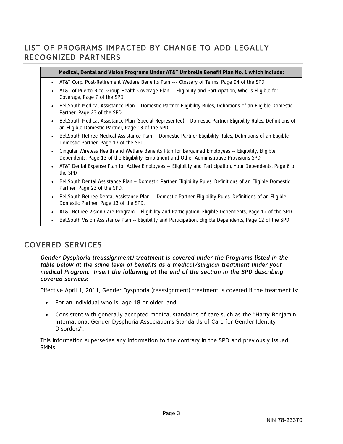## LIST OF PROGRAMS IMPACTED BY CHANGE TO ADD LEGALLY RECOGNIZED PARTNERS

#### **Medical, Dental and Vision Programs Under AT&T Umbrella Benefit Plan No. 1 which include:**

- AT&T Corp. Post-Retirement Welfare Benefits Plan --- Glossary of Terms, Page 94 of the SPD
- AT&T of Puerto Rico, Group Health Coverage Plan -- Eligibility and Participation, Who is Eligible for Coverage, Page 7 of the SPD
- BellSouth Medical Assistance Plan Domestic Partner Eligibility Rules, Definitions of an Eligible Domestic Partner, Page 23 of the SPD.
- BellSouth Medical Assistance Plan (Special Represented) Domestic Partner Eligibility Rules, Definitions of an Eligible Domestic Partner, Page 13 of the SPD.
- BellSouth Retiree Medical Assistance Plan -- Domestic Partner Eligibility Rules, Definitions of an Eligible Domestic Partner, Page 13 of the SPD.
- Cingular Wireless Health and Welfare Benefits Plan for Bargained Employees -- Eligibility, Eligible Dependents, Page 13 of the Eligibility, Enrollment and Other Administrative Provisions SPD
- AT&T Dental Expense Plan for Active Employees -- Eligibility and Participation, Your Dependents, Page 6 of the SPD
- **BellSouth Dental Assistance Plan Domestic Partner Eligibility Rules, Definitions of an Eligible Domestic** Partner, Page 23 of the SPD.
- BellSouth Retiree Dental Assistance Plan -- Domestic Partner Eligibility Rules, Definitions of an Eligible Domestic Partner, Page 13 of the SPD.
- AT&T Retiree Vision Care Program Eligibility and Participation, Eligible Dependents, Page 12 of the SPD
- BellSouth Vision Assistance Plan -- Eligibility and Participation, Eligible Dependents, Page 12 of the SPD

## COVERED SERVICES

*Gender Dysphoria (reassignment) treatment is covered under the Programs listed in the table below at the same level of benefits as a medical/surgical treatment under your medical Program. Insert the following at the end of the section in the SPD describing covered services:* 

Effective April 1, 2011, Gender Dysphoria (reassignment) treatment is covered if the treatment is:

- For an individual who is age 18 or older; and
- Consistent with generally accepted medical standards of care such as the "Harry Benjamin International Gender Dysphoria Association's Standards of Care for Gender Identity Disorders".

This information supersedes any information to the contrary in the SPD and previously issued SMMs.